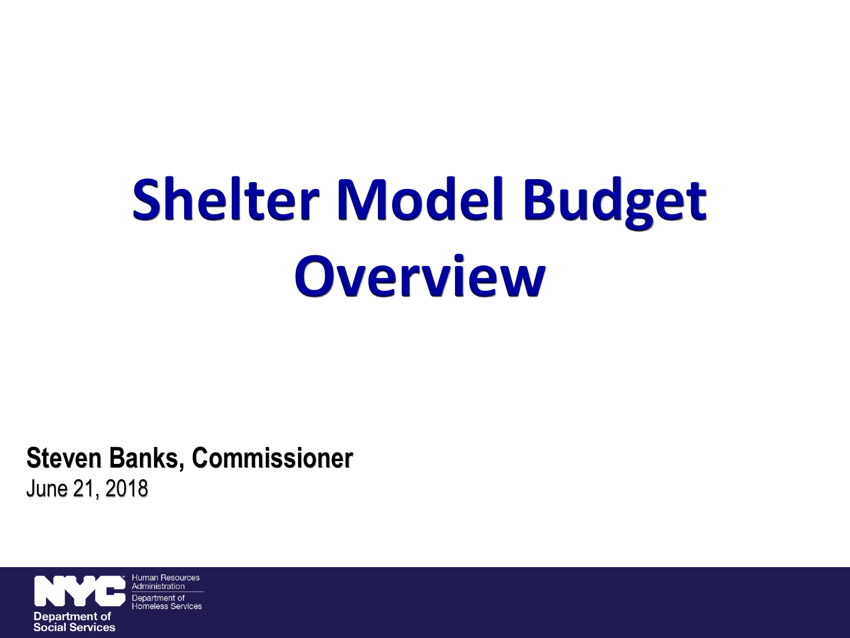# **Shelter Model Budget Overview**

**Steven Banks, Commissioner** June 21, 2018

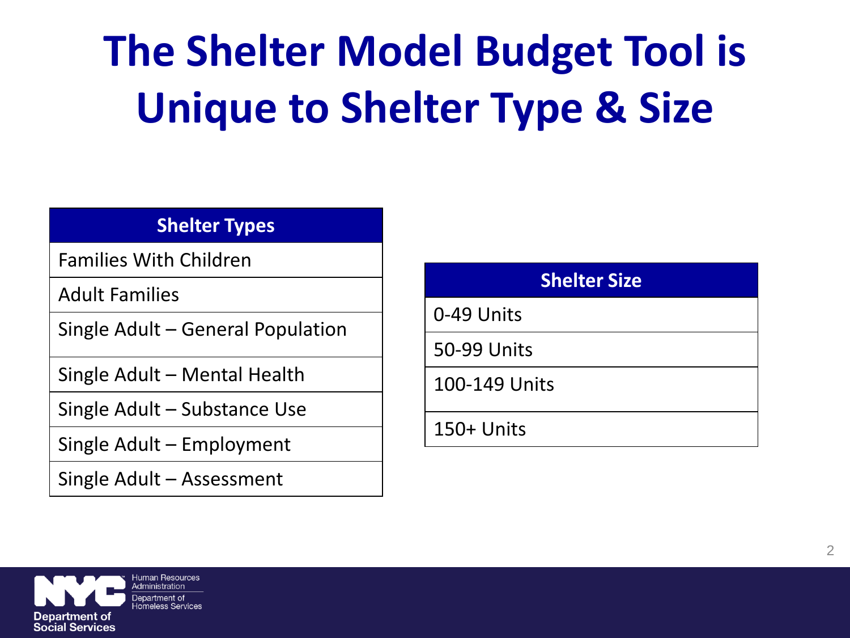## **The Shelter Model Budget Tool is Unique to Shelter Type & Size**

#### **Shelter Types**

Families With Children

Adult Families

Single Adult – General Population

Single Adult – Mental Health

Single Adult – Substance Use

Single Adult – Employment

Single Adult – Assessment

| <b>Shelter Size</b> |
|---------------------|
| 0-49 Units          |
| 50-99 Units         |
| 100-149 Units       |
| 150+ Units          |

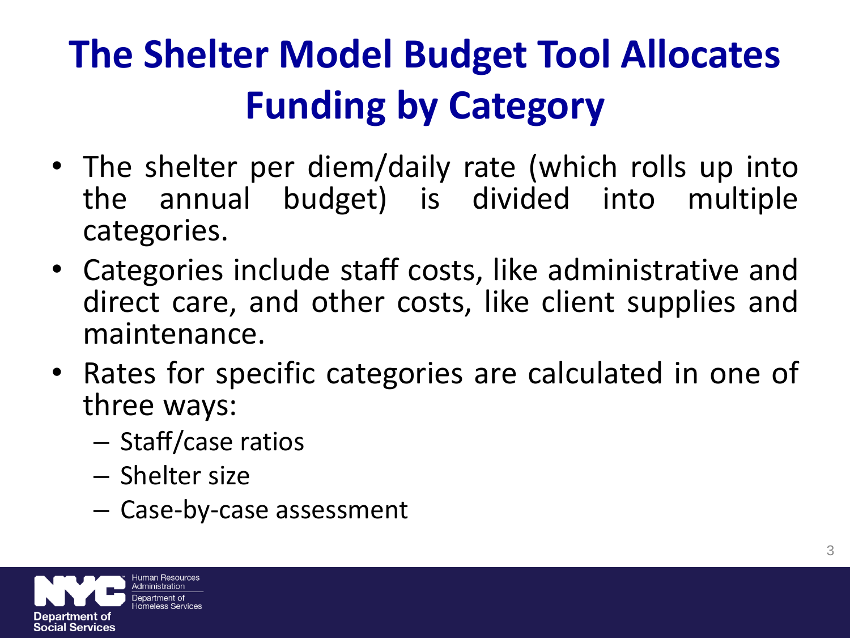#### **The Shelter Model Budget Tool Allocates Funding by Category**

- The shelter per diem/daily rate (which rolls up into the annual budget) is divided into multiple categories.
- Categories include staff costs, like administrative and direct care, and other costs, like client supplies and maintenance.
- Rates for specific categories are calculated in one of three ways:
	- Staff/case ratios
	- Shelter size
	- Case-by-case assessment

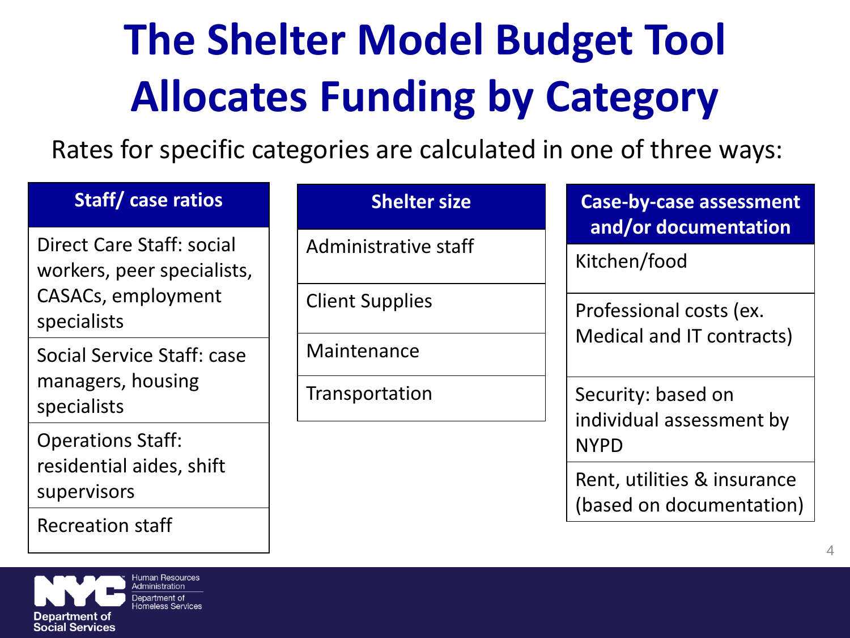## **The Shelter Model Budget Tool Allocates Funding by Category**

Rates for specific categories are calculated in one of three ways:

| <b>Staff/case ratios</b>                                | <b>Shelter size</b>    | <b>Case-by-case assessment</b><br>and/or documentation<br>Kitchen/food |  |  |  |
|---------------------------------------------------------|------------------------|------------------------------------------------------------------------|--|--|--|
| Direct Care Staff: social<br>workers, peer specialists, | Administrative staff   |                                                                        |  |  |  |
| CASACs, employment<br>specialists                       | <b>Client Supplies</b> | Professional costs (ex.<br>Medical and IT contracts)                   |  |  |  |
| Social Service Staff: case                              | Maintenance            |                                                                        |  |  |  |
| managers, housing<br>specialists                        | Transportation         | Security: based on<br>individual assessment by                         |  |  |  |
| <b>Operations Staff:</b>                                |                        | <b>NYPD</b>                                                            |  |  |  |
| residential aides, shift<br>supervisors                 |                        | Rent, utilities & insurance<br>(based on documentation)                |  |  |  |
| <b>Recreation staff</b>                                 |                        |                                                                        |  |  |  |

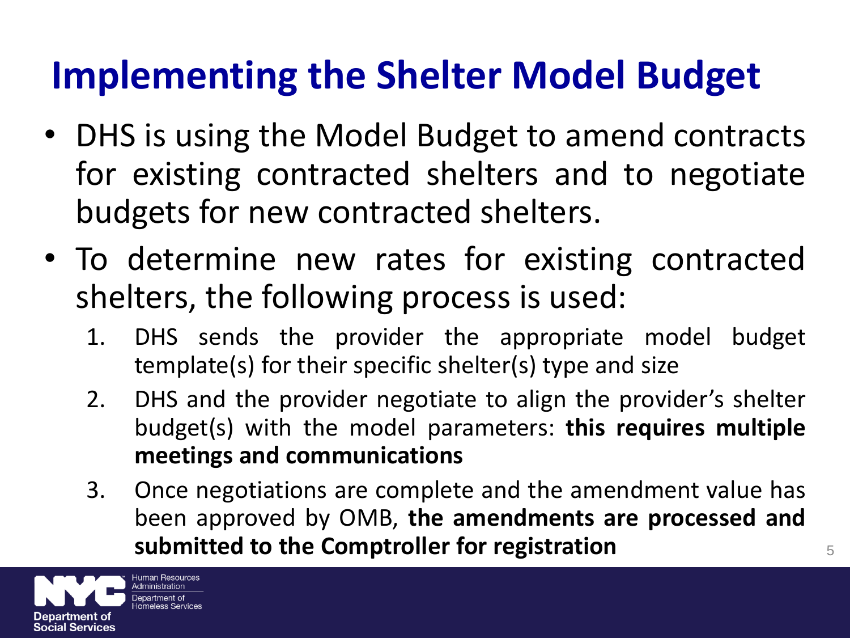#### **Implementing the Shelter Model Budget**

- DHS is using the Model Budget to amend contracts for existing contracted shelters and to negotiate budgets for new contracted shelters.
- To determine new rates for existing contracted shelters, the following process is used:
	- 1. DHS sends the provider the appropriate model budget template(s) for their specific shelter(s) type and size
	- 2. DHS and the provider negotiate to align the provider's shelter budget(s) with the model parameters: **this requires multiple meetings and communications**
	- 3. Once negotiations are complete and the amendment value has been approved by OMB, **the amendments are processed and submitted to the Comptroller for registration** <sup>5</sup>